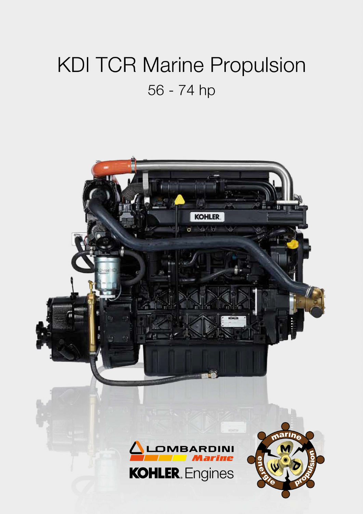# **KDI TCR Marine Propulsion** 56 - 74 hp

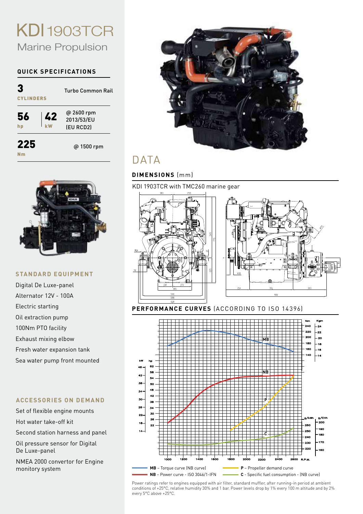# **KDI** 1903TCR Marine Propulsion

### **quick specifications**

| 3<br><b>CYLINDERS</b>        | Turbo Common Rail                     |
|------------------------------|---------------------------------------|
| 56<br>$\overline{42}$<br>h p | @ 2600 rpm<br>2013/53/EU<br>(EU RCD2) |
| 225                          | @ 1500 rpm                            |



#### **standard equipment**

Digital De Luxe-panel Alternator 12V - 100A Electric starting Oil extraction pump 100Nm PTO facility Exhaust mixing elbow Fresh water expansion tank Sea water pump front mounted

#### **Accessories on demand**

Set of flexible engine mounts Hot water take-off kit

Second station harness and panel

Oil pressure sensor for Digital De Luxe-panel

NMEA 2000 convertor for Engine monitory system



### **DATA**

### **DIMENSIONS** (mm)

KDI 1903TCR with TMC260 marine gear



#### **performance curves** (ACCORDING TO iso 14396)



Power ratings refer to engines equipped with air filter, standard muffler, after running-in period at ambient  $P$ conditions of +25°C, relative humidity 30% and 1 bar. Power levels drop by 1% every 100 m altitude and by 2% every 5°C above +25°C.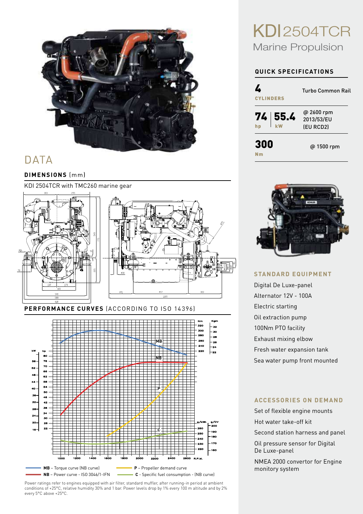

### **DATA**

### DIMENSIONS (mm)

KDI 2504TCR with TMC260 marine gear



**C** - Specific fuel consumption - (NB curve)

# **KDI**2504TCR Marine Propulsion **quick specifications**

| <b>CYLINDERS</b> | Turbo Common Rail                            |  |
|------------------|----------------------------------------------|--|
| $74 \big  55.4$  | @ 2600 rpm<br>2013/53/EU<br><b>(EU RCD2)</b> |  |
| 300<br>N m       | @ 1500 rpm                                   |  |



### **standard equipment**

Digital De Luxe-panel Alternator 12V - 100A Electric starting Oil extraction pump 100Nm PTO facility Exhaust mixing elbow Fresh water expansion tank Sea water pump front mounted

### **Accessories on demand**

Set of flexible engine mounts Hot water take-off kit

Second station harness and panel

Oil pressure sensor for Digital De Luxe-panel

NMEA 2000 convertor for Engine monitory system



**NB** – Power curve - ISO 3046/1-IFN